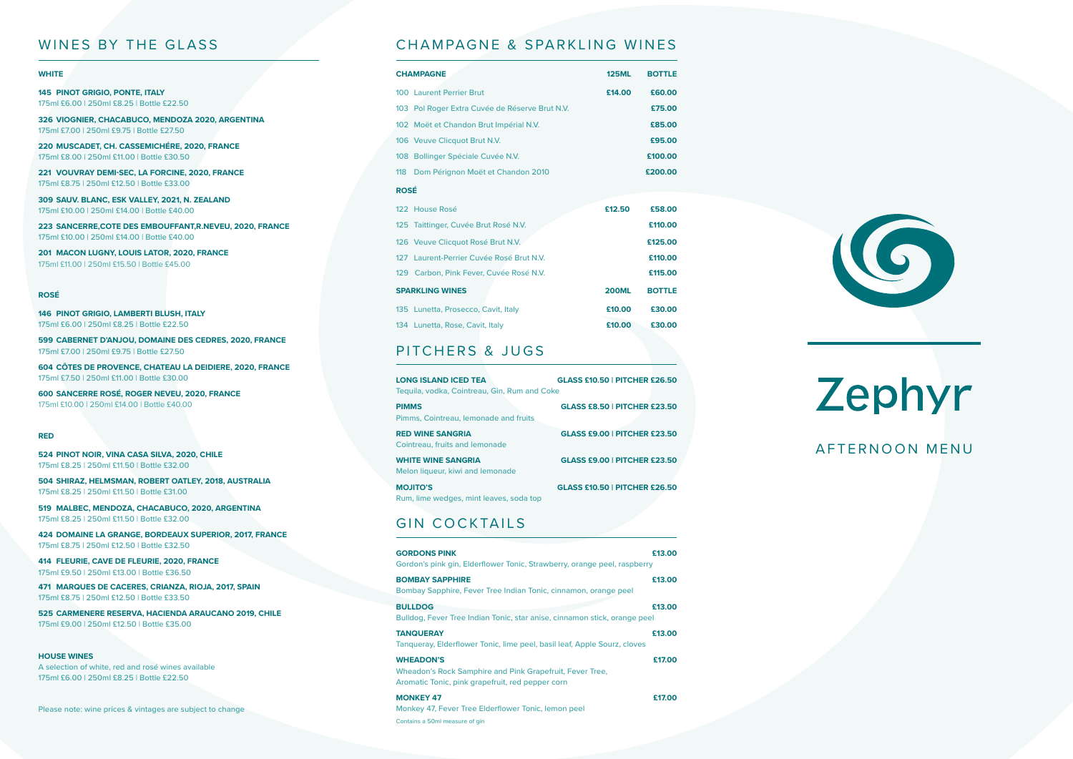# Zephyr AFTERNOON MENU

#### WINES BY THE GLASS

#### **WHITE**

**145 PINOT GRIGIO, PONTE, ITALY** 175ml £6.00 | 250ml £8.25 | Bottle £22.50

**326 VIOGNIER, CHACABUCO, MENDOZA 2020, ARGENTINA** 175ml £7.00 | 250ml £9.75 | Bottle £27.50

**220 MUSCADET, CH. CASSEMICHÉRE, 2020, FRANCE** 175ml £8.00 | 250ml £11.00 | Bottle £30.50

**221 VOUVRAY DEMI-SEC, LA FORCINE, 2020, FRANCE** 175ml £8.75 | 250ml £12.50 | Bottle £33.00

**309 SAUV. BLANC, ESK VALLEY, 2021, N. ZEALAND** 175ml £10.00 | 250ml £14.00 | Bottle £40.00

**223 SANCERRE,COTE DES EMBOUFFANT,R.NEVEU, 2020, FRANCE** 175ml £10.00 | 250ml £14.00 | Bottle £40.00

**201 MACON LUGNY, LOUIS LATOR, 2020, FRANCE** 175ml £11.00 | 250ml £15.50 | Bottle £45.00

#### **ROSÉ**

|  |                                           |  | <b>146 PINOT GRIGIO, LAMBERTI BLUSH, ITALY</b> |
|--|-------------------------------------------|--|------------------------------------------------|
|  | 175ml £6.00   250ml £8.25   Bottle £22.50 |  |                                                |

**599 CABERNET D'ANJOU, DOMAINE DES CEDRES, 2020, FRANCE** 175ml £7.00 | 250ml £9.75 | Bottle £27.50

**604 CÔTES DE PROVENCE, CHATEAU LA DEIDIERE, 2020, FRANCE** 175ml £7.50 | 250ml £11.00 | Bottle £30.00

**600 SANCERRE ROSÉ, ROGER NEVEU, 2020, FRANCE** 175ml £10.00 | 250ml £14.00 | Bottle £40.00

#### **RED**

**524 PINOT NOIR, VINA CASA SILVA, 2020, CHILE** 175ml £8.25 | 250ml £11.50 | Bottle £32.00

**504 SHIRAZ, HELMSMAN, ROBERT OATLEY, 2018, AUSTRALIA** 175ml £8.25 | 250ml £11.50 | Bottle £31.00

**519 MALBEC, MENDOZA, CHACABUCO, 2020, ARGENTINA** 175ml £8.25 | 250ml £11.50 | Bottle £32.00

**424 DOMAINE LA GRANGE, BORDEAUX SUPERIOR, 2017, FRANCE** 175ml £8.75 | 250ml £12.50 | Bottle £32.50

**414 FLEURIE, CAVE DE FLEURIE, 2020, FRANCE** 175ml £9.50 | 250ml £13.00 | Bottle £36.50

**471 MARQUES DE CACERES, CRIANZA, RIOJA, 2017, SPAIN** 175ml £8.75 | 250ml £12.50 | Bottle £33.50

**525 CARMENERE RESERVA, HACIENDA ARAUCANO 2019, CHILE** 175ml £9.00 | 250ml £12.50 | Bottle £35.00

#### **HOUSE WINES**

A selection of white, red and rosé wines available 175ml £6.00 | 250ml £8.25 | Bottle £22.50

Please note: wine prices & vintages are subject to change

### CHAMPAGNE & SPARKLING WINES

| <b>CHAMPAGNE</b>                               | <b>125ML</b> | <b>BOTTLE</b> |  |
|------------------------------------------------|--------------|---------------|--|
| <b>100 Laurent Perrier Brut</b>                | £14.00       | £60.00        |  |
| 103 Pol Roger Extra Cuvée de Réserve Brut N.V. |              | £75.00        |  |
| 102 Moët et Chandon Brut Impérial N.V.         |              | £85.00        |  |
| 106 Veuve Clicquot Brut N.V.                   |              | £95.00        |  |
| 108 Bollinger Spéciale Cuvée N.V.              |              | £100.00       |  |
| 118 Dom Pérignon Moët et Chandon 2010          |              | £200.00       |  |
| <b>ROSÉ</b>                                    |              |               |  |
| 122 House Rosé                                 | £12.50       | £58.00        |  |
| 125 Taittinger, Cuvée Brut Rosé N.V.           |              | £110.00       |  |
| 126 Veuve Clicquot Rosé Brut N.V.              |              | £125.00       |  |
| 127 Laurent-Perrier Cuvée Rosé Brut N.V.       |              | £110.00       |  |
| 129 Carbon, Pink Fever, Cuvée Rosé N.V.        |              | £115,00       |  |
| <b>SPARKLING WINES</b>                         | <b>200ML</b> | <b>BOTTLE</b> |  |
| 135 Lunetta, Prosecco, Cavit, Italy            | £10.00       | £30.00        |  |
| 134 Lunetta, Rose, Cavit, Italy                | £10.00       | £30.00        |  |

# PITCHERS & JUGS

| <b>LONG ISLAND ICED TEA</b><br>Teguila, vodka, Cointreau, Gin, Rum and Coke | <b>GLASS £10.50   PITCHER £26.50</b> |
|-----------------------------------------------------------------------------|--------------------------------------|
| <b>PIMMS</b><br>Pimms, Cointreau, lemonade and fruits                       | <b>GLASS £8.50   PITCHER £23.50</b>  |
| <b>RED WINE SANGRIA</b><br>Cointreau, fruits and lemonade                   | <b>GLASS £9.00   PITCHER £23.50</b>  |
| <b>WHITE WINE SANGRIA</b><br>Melon liqueur, kiwi and lemonade               | <b>GLASS £9.00   PITCHER £23.50</b>  |
| <b>MOJITO'S</b><br>Rum, lime wedges, mint leaves, soda top                  | <b>GLASS £10.50   PITCHER £26.50</b> |

# GIN COCKTAILS

| <b>GORDONS PINK</b><br>Gordon's pink gin, Elderflower Tonic, Strawberry, orange peel, raspberry                                  | £13.00 |
|----------------------------------------------------------------------------------------------------------------------------------|--------|
| <b>BOMBAY SAPPHIRE</b><br>Bombay Sapphire, Fever Tree Indian Tonic, cinnamon, orange peel                                        | £13.00 |
| <b>BULLDOG</b><br>Bulldog, Fever Tree Indian Tonic, star anise, cinnamon stick, orange peel                                      | £13.00 |
| <b>TANQUERAY</b><br>Tangueray, Elderflower Tonic, lime peel, basil leaf, Apple Sourz, cloves                                     | £13.00 |
| <b>WHEADON'S</b><br>Wheadon's Rock Samphire and Pink Grapefruit, Fever Tree,<br>Aromatic Tonic, pink grapefruit, red pepper corn | £17.00 |
| <b>MONKEY 47</b><br>Monkey 47, Fever Tree Elderflower Tonic, lemon peel<br>Contains a 50ml measure of gin                        | £17.00 |